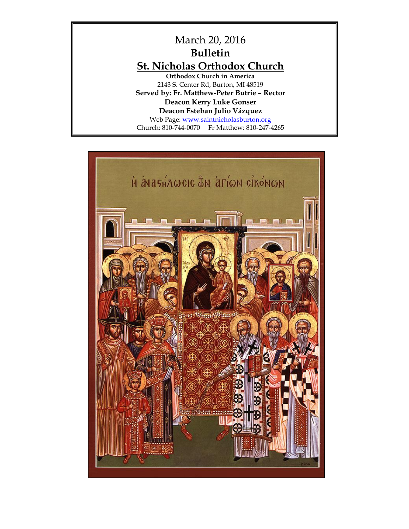

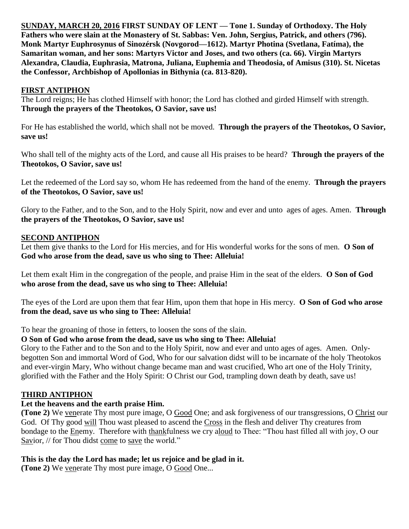**SUNDAY, MARCH 20, 2016 FIRST SUNDAY OF LENT — Tone 1. Sunday of Orthodoxy. The Holy Fathers who were slain at the Monastery of St. Sabbas: Ven. John, Sergius, Patrick, and others (796). Monk Martyr Euphrosynus of Sinozérsk (Novgorod—1612). Martyr Photina (Svetlana, Fatíma), the Samaritan woman, and her sons: Martyrs Victor and Joses, and two others (ca. 66). Virgin Martyrs Alexandra, Claudia, Euphrasia, Matrona, Juliana, Euphemia and Theodosia, of Amisus (310). St. Nicetas the Confessor, Archbishop of Apollonias in Bithynia (ca. 813-820).** 

# **FIRST ANTIPHON**

The Lord reigns; He has clothed Himself with honor; the Lord has clothed and girded Himself with strength. **Through the prayers of the Theotokos, O Savior, save us!**

For He has established the world, which shall not be moved. **Through the prayers of the Theotokos, O Savior, save us!**

Who shall tell of the mighty acts of the Lord, and cause all His praises to be heard? **Through the prayers of the Theotokos, O Savior, save us!**

Let the redeemed of the Lord say so, whom He has redeemed from the hand of the enemy. **Through the prayers of the Theotokos, O Savior, save us!**

Glory to the Father, and to the Son, and to the Holy Spirit, now and ever and unto ages of ages. Amen. **Through the prayers of the Theotokos, O Savior, save us!**

# **SECOND ANTIPHON**

Let them give thanks to the Lord for His mercies, and for His wonderful works for the sons of men. **O Son of God who arose from the dead, save us who sing to Thee: Alleluia!**

Let them exalt Him in the congregation of the people, and praise Him in the seat of the elders. **O Son of God who arose from the dead, save us who sing to Thee: Alleluia!**

The eyes of the Lord are upon them that fear Him, upon them that hope in His mercy. **O Son of God who arose from the dead, save us who sing to Thee: Alleluia!**

To hear the groaning of those in fetters, to loosen the sons of the slain.

**O Son of God who arose from the dead, save us who sing to Thee: Alleluia!**

Glory to the Father and to the Son and to the Holy Spirit, now and ever and unto ages of ages. Amen. Onlybegotten Son and immortal Word of God, Who for our salvation didst will to be incarnate of the holy Theotokos and ever-virgin Mary, Who without change became man and wast crucified, Who art one of the Holy Trinity, glorified with the Father and the Holy Spirit: O Christ our God, trampling down death by death, save us!

# **THIRD ANTIPHON**

# **Let the heavens and the earth praise Him.**

**(Tone 2)** We venerate Thy most pure image, O Good One; and ask forgiveness of our transgressions, O Christ our God. Of Thy good will Thou wast pleased to ascend the Cross in the flesh and deliver Thy creatures from bondage to the Enemy. Therefore with thankfulness we cry aloud to Thee: "Thou hast filled all with joy, O our Savior, // for Thou didst come to save the world."

# **This is the day the Lord has made; let us rejoice and be glad in it.**

**(Tone 2)** We venerate Thy most pure image, O Good One...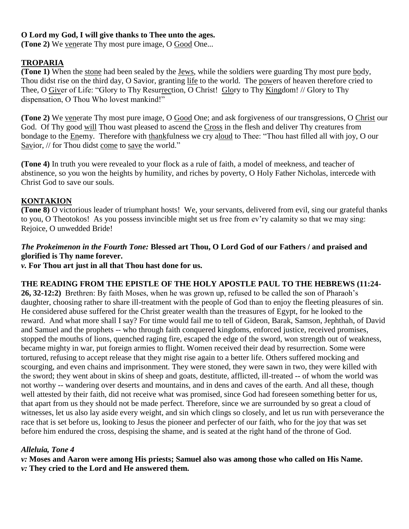# **O Lord my God, I will give thanks to Thee unto the ages.**

**(Tone 2)** We venerate Thy most pure image, O Good One...

# **TROPARIA**

**(Tone 1)** When the stone had been sealed by the Jews, while the soldiers were guarding Thy most pure body, Thou didst rise on the third day, O Savior, granting life to the world. The powers of heaven therefore cried to Thee, O Giver of Life: "Glory to Thy Resurrection, O Christ! Glory to Thy Kingdom! // Glory to Thy dispensation, O Thou Who lovest mankind!"

**(Tone 2)** We venerate Thy most pure image, O Good One; and ask forgiveness of our transgressions, O Christ our God. Of Thy good will Thou wast pleased to ascend the Cross in the flesh and deliver Thy creatures from bondage to the Enemy. Therefore with thankfulness we cry aloud to Thee: "Thou hast filled all with joy, O our Savior, // for Thou didst come to save the world."

**(Tone 4)** In truth you were revealed to your flock as a rule of faith, a model of meekness, and teacher of abstinence, so you won the heights by humility, and riches by poverty, O Holy Father Nicholas, intercede with Christ God to save our souls.

## **KONTAKION**

**(Tone 8)** O victorious leader of triumphant hosts! We, your servants, delivered from evil, sing our grateful thanks to you, O Theotokos! As you possess invincible might set us free from ev'ry calamity so that we may sing: Rejoice, O unwedded Bride!

# *The Prokeimenon in the Fourth Tone:* **Blessed art Thou, O Lord God of our Fathers / and praised and glorified is Thy name forever.**

*v.* **For Thou art just in all that Thou hast done for us.**

#### **THE READING FROM THE EPISTLE OF THE HOLY APOSTLE PAUL TO THE HEBREWS (11:24-**

**26, 32-12:2)** Brethren: By faith Moses, when he was grown up, refused to be called the son of Pharaoh's daughter, choosing rather to share ill-treatment with the people of God than to enjoy the fleeting pleasures of sin. He considered abuse suffered for the Christ greater wealth than the treasures of Egypt, for he looked to the reward. And what more shall I say? For time would fail me to tell of Gideon, Barak, Samson, Jephthah, of David and Samuel and the prophets -- who through faith conquered kingdoms, enforced justice, received promises, stopped the mouths of lions, quenched raging fire, escaped the edge of the sword, won strength out of weakness, became mighty in war, put foreign armies to flight. Women received their dead by resurrection. Some were tortured, refusing to accept release that they might rise again to a better life. Others suffered mocking and scourging, and even chains and imprisonment. They were stoned, they were sawn in two, they were killed with the sword; they went about in skins of sheep and goats, destitute, afflicted, ill-treated -- of whom the world was not worthy -- wandering over deserts and mountains, and in dens and caves of the earth. And all these, though well attested by their faith, did not receive what was promised, since God had foreseen something better for us, that apart from us they should not be made perfect. Therefore, since we are surrounded by so great a cloud of witnesses, let us also lay aside every weight, and sin which clings so closely, and let us run with perseverance the race that is set before us, looking to Jesus the pioneer and perfecter of our faith, who for the joy that was set before him endured the cross, despising the shame, and is seated at the right hand of the throne of God.

## *Alleluia, Tone 4*

*v:* **Moses and Aaron were among His priests; Samuel also was among those who called on His Name.**

*v:* **They cried to the Lord and He answered them.**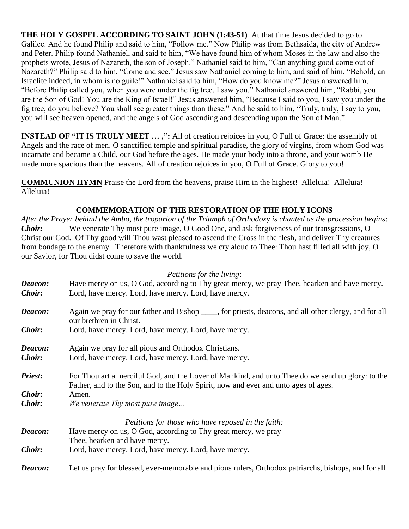**THE HOLY GOSPEL ACCORDING TO SAINT JOHN (1:43-51)** At that time Jesus decided to go to Galilee. And he found Philip and said to him, "Follow me." Now Philip was from Bethsaida, the city of Andrew and Peter. Philip found Nathaniel, and said to him, "We have found him of whom Moses in the law and also the prophets wrote, Jesus of Nazareth, the son of Joseph." Nathaniel said to him, "Can anything good come out of Nazareth?" Philip said to him, "Come and see." Jesus saw Nathaniel coming to him, and said of him, "Behold, an Israelite indeed, in whom is no guile!" Nathaniel said to him, "How do you know me?" Jesus answered him, "Before Philip called you, when you were under the fig tree, I saw you." Nathaniel answered him, "Rabbi, you are the Son of God! You are the King of Israel!" Jesus answered him, "Because I said to you, I saw you under the fig tree, do you believe? You shall see greater things than these." And he said to him, "Truly, truly, I say to you, you will see heaven opened, and the angels of God ascending and descending upon the Son of Man."

**INSTEAD OF "IT IS TRULY MEET ...,":** All of creation rejoices in you, O Full of Grace: the assembly of Angels and the race of men. O sanctified temple and spiritual paradise, the glory of virgins, from whom God was incarnate and became a Child, our God before the ages. He made your body into a throne, and your womb He made more spacious than the heavens. All of creation rejoices in you, O Full of Grace. Glory to you!

**COMMUNION HYMN** Praise the Lord from the heavens, praise Him in the highest! Alleluia! Alleluia! Alleluia!

# **COMMEMORATION OF THE RESTORATION OF THE HOLY ICONS**

*After the Prayer behind the Ambo, the troparion of the Triumph of Orthodoxy is chanted as the procession begins*: *Choir:* We venerate Thy most pure image, O Good One, and ask forgiveness of our transgressions, O Christ our God. Of Thy good will Thou wast pleased to ascend the Cross in the flesh, and deliver Thy creatures from bondage to the enemy. Therefore with thankfulness we cry aloud to Thee: Thou hast filled all with joy, O our Savior, for Thou didst come to save the world.

## *Petitions for the living*:

| Deacon:        | Have mercy on us, O God, according to Thy great mercy, we pray Thee, hearken and have mercy.                                                                                            |
|----------------|-----------------------------------------------------------------------------------------------------------------------------------------------------------------------------------------|
| <i>Choir:</i>  | Lord, have mercy. Lord, have mercy. Lord, have mercy.                                                                                                                                   |
| Deacon:        | Again we pray for our father and Bishop _____, for priests, deacons, and all other clergy, and for all<br>our brethren in Christ.                                                       |
| Choir:         | Lord, have mercy. Lord, have mercy. Lord, have mercy.                                                                                                                                   |
| Deacon:        | Again we pray for all pious and Orthodox Christians.                                                                                                                                    |
| <b>Choir:</b>  | Lord, have mercy. Lord, have mercy. Lord, have mercy.                                                                                                                                   |
| <b>Priest:</b> | For Thou art a merciful God, and the Lover of Mankind, and unto Thee do we send up glory: to the<br>Father, and to the Son, and to the Holy Spirit, now and ever and unto ages of ages. |
| Choir:         | Amen.                                                                                                                                                                                   |
| <b>Choir:</b>  | We venerate Thy most pure image                                                                                                                                                         |
|                | Petitions for those who have reposed in the faith:                                                                                                                                      |
| Deacon:        | Have mercy on us, O God, according to Thy great mercy, we pray                                                                                                                          |
|                | Thee, hearken and have mercy.                                                                                                                                                           |
| Choir:         | Lord, have mercy. Lord, have mercy. Lord, have mercy.                                                                                                                                   |
| Deacon:        | Let us pray for blessed, ever-memorable and pious rulers, Orthodox patriarchs, bishops, and for all                                                                                     |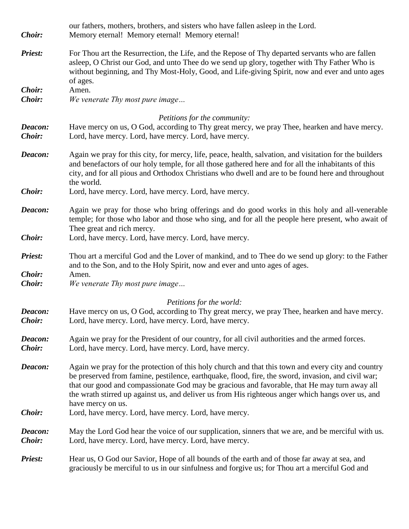| Choir:                   | our fathers, mothers, brothers, and sisters who have fallen asleep in the Lord.<br>Memory eternal! Memory eternal! Memory eternal!                                                                                                                                                                                                                                                                                                 |
|--------------------------|------------------------------------------------------------------------------------------------------------------------------------------------------------------------------------------------------------------------------------------------------------------------------------------------------------------------------------------------------------------------------------------------------------------------------------|
| <b>Priest:</b>           | For Thou art the Resurrection, the Life, and the Repose of Thy departed servants who are fallen<br>asleep, O Christ our God, and unto Thee do we send up glory, together with Thy Father Who is<br>without beginning, and Thy Most-Holy, Good, and Life-giving Spirit, now and ever and unto ages<br>of ages.                                                                                                                      |
| Choir:<br>Choir:         | Amen.<br>We venerate Thy most pure image                                                                                                                                                                                                                                                                                                                                                                                           |
|                          | Petitions for the community:                                                                                                                                                                                                                                                                                                                                                                                                       |
| Deacon:<br><b>Choir:</b> | Have mercy on us, O God, according to Thy great mercy, we pray Thee, hearken and have mercy.<br>Lord, have mercy. Lord, have mercy. Lord, have mercy.                                                                                                                                                                                                                                                                              |
| Deacon:                  | Again we pray for this city, for mercy, life, peace, health, salvation, and visitation for the builders<br>and benefactors of our holy temple, for all those gathered here and for all the inhabitants of this<br>city, and for all pious and Orthodox Christians who dwell and are to be found here and throughout<br>the world.                                                                                                  |
| Choir:                   | Lord, have mercy. Lord, have mercy. Lord, have mercy.                                                                                                                                                                                                                                                                                                                                                                              |
| Deacon:                  | Again we pray for those who bring offerings and do good works in this holy and all-venerable<br>temple; for those who labor and those who sing, and for all the people here present, who await of<br>Thee great and rich mercy.                                                                                                                                                                                                    |
| Choir:                   | Lord, have mercy. Lord, have mercy. Lord, have mercy.                                                                                                                                                                                                                                                                                                                                                                              |
| <b>Priest:</b>           | Thou art a merciful God and the Lover of mankind, and to Thee do we send up glory: to the Father<br>and to the Son, and to the Holy Spirit, now and ever and unto ages of ages.                                                                                                                                                                                                                                                    |
| Choir:<br>Choir:         | Amen.<br>We venerate Thy most pure image                                                                                                                                                                                                                                                                                                                                                                                           |
|                          | Petitions for the world:                                                                                                                                                                                                                                                                                                                                                                                                           |
| Deacon:<br>Choir:        | Have mercy on us, O God, according to Thy great mercy, we pray Thee, hearken and have mercy.<br>Lord, have mercy. Lord, have mercy. Lord, have mercy.                                                                                                                                                                                                                                                                              |
| Deacon:<br>Choir:        | Again we pray for the President of our country, for all civil authorities and the armed forces.<br>Lord, have mercy. Lord, have mercy. Lord, have mercy.                                                                                                                                                                                                                                                                           |
| Deacon:                  | Again we pray for the protection of this holy church and that this town and every city and country<br>be preserved from famine, pestilence, earthquake, flood, fire, the sword, invasion, and civil war;<br>that our good and compassionate God may be gracious and favorable, that He may turn away all<br>the wrath stirred up against us, and deliver us from His righteous anger which hangs over us, and<br>have mercy on us. |
| Choir:                   | Lord, have mercy. Lord, have mercy. Lord, have mercy.                                                                                                                                                                                                                                                                                                                                                                              |
| Deacon:<br>Choir:        | May the Lord God hear the voice of our supplication, sinners that we are, and be merciful with us.<br>Lord, have mercy. Lord, have mercy. Lord, have mercy.                                                                                                                                                                                                                                                                        |
| <b>Priest:</b>           | Hear us, O God our Savior, Hope of all bounds of the earth and of those far away at sea, and<br>graciously be merciful to us in our sinfulness and forgive us; for Thou art a merciful God and                                                                                                                                                                                                                                     |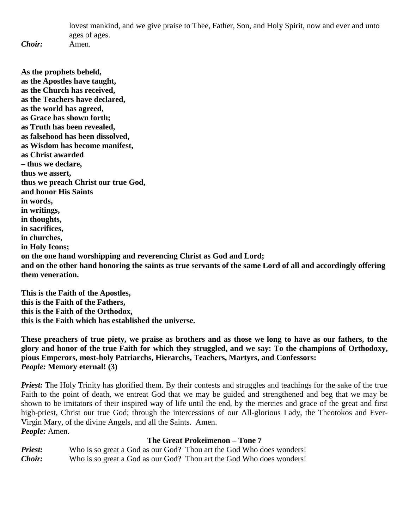lovest mankind, and we give praise to Thee, Father, Son, and Holy Spirit, now and ever and unto ages of ages.

*Choir:* Amen.

**As the prophets beheld, as the Apostles have taught, as the Church has received, as the Teachers have declared, as the world has agreed, as Grace has shown forth; as Truth has been revealed, as falsehood has been dissolved, as Wisdom has become manifest, as Christ awarded – thus we declare, thus we assert, thus we preach Christ our true God, and honor His Saints in words, in writings, in thoughts, in sacrifices, in churches, in Holy Icons; on the one hand worshipping and reverencing Christ as God and Lord; and on the other hand honoring the saints as true servants of the same Lord of all and accordingly offering them veneration.**

**This is the Faith of the Apostles, this is the Faith of the Fathers, this is the Faith of the Orthodox, this is the Faith which has established the universe.**

**These preachers of true piety, we praise as brothers and as those we long to have as our fathers, to the glory and honor of the true Faith for which they struggled, and we say: To the champions of Orthodoxy, pious Emperors, most-holy Patriarchs, Hierarchs, Teachers, Martyrs, and Confessors:** *People:* **Memory eternal! (3)**

*Priest:* The Holy Trinity has glorified them. By their contests and struggles and teachings for the sake of the true Faith to the point of death, we entreat God that we may be guided and strengthened and beg that we may be shown to be imitators of their inspired way of life until the end, by the mercies and grace of the great and first high-priest, Christ our true God; through the intercessions of our All-glorious Lady, the Theotokos and Ever-Virgin Mary, of the divine Angels, and all the Saints. Amen. *People:* Amen.

## **The Great Prokeimenon – Tone 7**

*Priest:* Who is so great a God as our God? Thou art the God Who does wonders! *Choir:* Who is so great a God as our God? Thou art the God Who does wonders!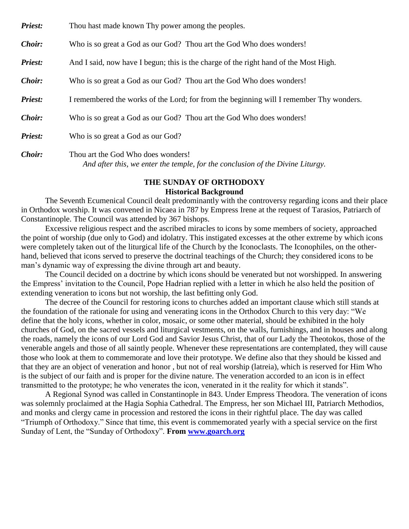| Priest: | Thou hast made known Thy power among the peoples. |  |  |
|---------|---------------------------------------------------|--|--|
|---------|---------------------------------------------------|--|--|

*Choir:* Who is so great a God as our God? Thou art the God Who does wonders!

*Priest:* And I said, now have I begun; this is the charge of the right hand of the Most High.

*Choir:* Who is so great a God as our God? Thou art the God Who does wonders!

*Priest:* I remembered the works of the Lord; for from the beginning will I remember Thy wonders.

*Choir:* Who is so great a God as our God? Thou art the God Who does wonders!

*Priest:* Who is so great a God as our God?

*Choir:* Thou art the God Who does wonders! *And after this, we enter the temple, for the conclusion of the Divine Liturgy.*

#### **THE SUNDAY OF ORTHODOXY Historical Background**

The Seventh Ecumenical Council dealt predominantly with the controversy regarding icons and their place in Orthodox worship. It was convened in Nicaea in 787 by Empress Irene at the request of Tarasios, Patriarch of Constantinople. The Council was attended by 367 bishops.

Excessive religious respect and the ascribed miracles to icons by some members of society, approached the point of worship (due only to God) and idolatry. This instigated excesses at the other extreme by which icons were completely taken out of the liturgical life of the Church by the Iconoclasts. The Iconophiles, on the otherhand, believed that icons served to preserve the doctrinal teachings of the Church; they considered icons to be man's dynamic way of expressing the divine through art and beauty.

The Council decided on a doctrine by which icons should be venerated but not worshipped. In answering the Empress' invitation to the Council, Pope Hadrian replied with a letter in which he also held the position of extending veneration to icons but not worship, the last befitting only God.

The decree of the Council for restoring icons to churches added an important clause which still stands at the foundation of the rationale for using and venerating icons in the Orthodox Church to this very day: "We define that the holy icons, whether in color, mosaic, or some other material, should be exhibited in the holy churches of God, on the sacred vessels and liturgical vestments, on the walls, furnishings, and in houses and along the roads, namely the icons of our Lord God and Savior Jesus Christ, that of our Lady the Theotokos, those of the venerable angels and those of all saintly people. Whenever these representations are contemplated, they will cause those who look at them to commemorate and love their prototype. We define also that they should be kissed and that they are an object of veneration and honor , but not of real worship (latreia), which is reserved for Him Who is the subject of our faith and is proper for the divine nature. The veneration accorded to an icon is in effect transmitted to the prototype; he who venerates the icon, venerated in it the reality for which it stands".

A Regional Synod was called in Constantinople in 843. Under Empress Theodora. The veneration of icons was solemnly proclaimed at the Hagia Sophia Cathedral. The Empress, her son Michael III, Patriarch Methodios, and monks and clergy came in procession and restored the icons in their rightful place. The day was called "Triumph of Orthodoxy." Since that time, this event is commemorated yearly with a special service on the first Sunday of Lent, the "Sunday of Orthodoxy". **From [www.goarch.org](http://www.goarch.org/)**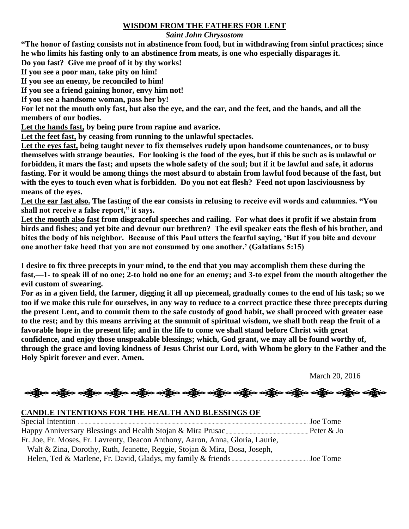#### **WISDOM FROM THE FATHERS FOR LENT**

#### *Saint John Chrysostom*

**"The honor of fasting consists not in abstinence from food, but in withdrawing from sinful practices; since he who limits his fasting only to an abstinence from meats, is one who especially disparages it.**

**Do you fast? Give me proof of it by thy works!**

**If you see a poor man, take pity on him!**

**If you see an enemy, be reconciled to him!**

**If you see a friend gaining honor, envy him not!**

**If you see a handsome woman, pass her by!**

**For let not the mouth only fast, but also the eye, and the ear, and the feet, and the hands, and all the members of our bodies.**

**Let the hands fast, by being pure from rapine and avarice.**

**Let the feet fast, by ceasing from running to the unlawful spectacles.**

**Let the eyes fast, being taught never to fix themselves rudely upon handsome countenances, or to busy themselves with strange beauties. For looking is the food of the eyes, but if this be such as is unlawful or forbidden, it mars the fast; and upsets the whole safety of the soul; but if it be lawful and safe, it adorns fasting. For it would be among things the most absurd to abstain from lawful food because of the fast, but with the eyes to touch even what is forbidden. Do you not eat flesh? Feed not upon lasciviousness by means of the eyes.**

**Let the ear fast also. The fasting of the ear consists in refusing to receive evil words and calumnies. "You shall not receive a false report," it says.**

**Let the mouth also fast from disgraceful speeches and railing. For what does it profit if we abstain from birds and fishes; and yet bite and devour our brethren? The evil speaker eats the flesh of his brother, and bites the body of his neighbor. Because of this Paul utters the fearful saying, 'But if you bite and devour one another take heed that you are not consumed by one another.' (Galatians 5:15)**

**I desire to fix three precepts in your mind, to the end that you may accomplish them these during the fast,—1- to speak ill of no one; 2-to hold no one for an enemy; and 3-to expel from the mouth altogether the evil custom of swearing.**

**For as in a given field, the farmer, digging it all up piecemeal, gradually comes to the end of his task; so we too if we make this rule for ourselves, in any way to reduce to a correct practice these three precepts during the present Lent, and to commit them to the safe custody of good habit, we shall proceed with greater ease to the rest; and by this means arriving at the summit of spiritual wisdom, we shall both reap the fruit of a favorable hope in the present life; and in the life to come we shall stand before Christ with great confidence, and enjoy those unspeakable blessings; which, God grant, we may all be found worthy of, through the grace and loving kindness of Jesus Christ our Lord, with Whom be glory to the Father and the Holy Spirit forever and ever. Amen.**

March 20, 2016

ခရွို့လ ခရွို့လ ခရွို့လ ခရွိသည့် သည့်လ ခရွိသည့် သည်။ သည်သည့် သည်။ သည်သည်။ သည်များ သည်များ

# **CANDLE INTENTIONS FOR THE HEALTH AND BLESSINGS OF**

| Fr. Joe, Fr. Moses, Fr. Lavrenty, Deacon Anthony, Aaron, Anna, Gloria, Laurie, |  |
|--------------------------------------------------------------------------------|--|
| Walt & Zina, Dorothy, Ruth, Jeanette, Reggie, Stojan & Mira, Bosa, Joseph,     |  |
|                                                                                |  |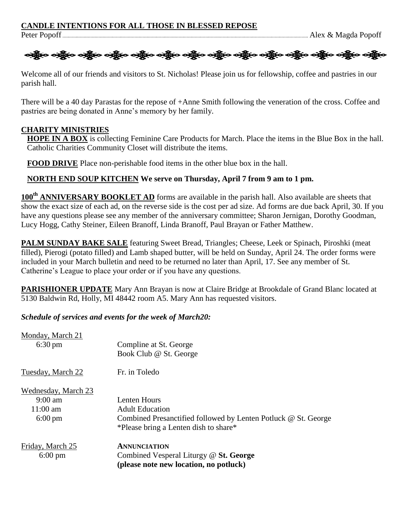#### **CANDLE INTENTIONS FOR ALL THOSE IN BLESSED REPOSE**



Welcome all of our friends and visitors to St. Nicholas! Please join us for fellowship, coffee and pastries in our parish hall.

There will be a 40 day Parastas for the repose of +Anne Smith following the veneration of the cross. Coffee and pastries are being donated in Anne's memory by her family.

#### **CHARITY MINISTRIES**

**HOPE IN A BOX** is collecting Feminine Care Products for March. Place the items in the Blue Box in the hall. Catholic Charities Community Closet will distribute the items.

**FOOD DRIVE** Place non-perishable food items in the other blue box in the hall.

# **NORTH END SOUP KITCHEN We serve on Thursday, April 7 from 9 am to 1 pm.**

**100th ANNIVERSARY BOOKLET AD** forms are available in the parish hall. Also available are sheets that show the exact size of each ad, on the reverse side is the cost per ad size. Ad forms are due back April, 30. If you have any questions please see any member of the anniversary committee; Sharon Jernigan, Dorothy Goodman, Lucy Hogg, Cathy Steiner, Eileen Branoff, Linda Branoff, Paul Brayan or Father Matthew.

**PALM SUNDAY BAKE SALE** featuring Sweet Bread, Triangles; Cheese, Leek or Spinach, Piroshki (meat filled), Pierogi (potato filled) and Lamb shaped butter, will be held on Sunday, April 24. The order forms were included in your March bulletin and need to be returned no later than April, 17. See any member of St. Catherine's League to place your order or if you have any questions.

**PARISHIONER UPDATE** Mary Ann Brayan is now at Claire Bridge at Brookdale of Grand Blanc located at 5130 Baldwin Rd, Holly, MI 48442 room A5. Mary Ann has requested visitors.

*Schedule of services and events for the week of March20:*

| Monday, March 21                      | Compline at St. George                                                                                  |
|---------------------------------------|---------------------------------------------------------------------------------------------------------|
| $6:30 \text{ pm}$                     | Book Club @ St. George                                                                                  |
| Tuesday, March 22                     | Fr. in Toledo                                                                                           |
| Wednesday, March 23                   | Lenten Hours                                                                                            |
| $9:00$ am                             | <b>Adult Education</b>                                                                                  |
| $11:00$ am                            | Combined Presanctified followed by Lenten Potluck @ St. George                                          |
| $6:00 \text{ pm}$                     | *Please bring a Lenten dish to share*                                                                   |
| Friday, March 25<br>$6:00 \text{ pm}$ | <b>ANNUNCIATION</b><br>Combined Vesperal Liturgy @ St. George<br>(please note new location, no potluck) |